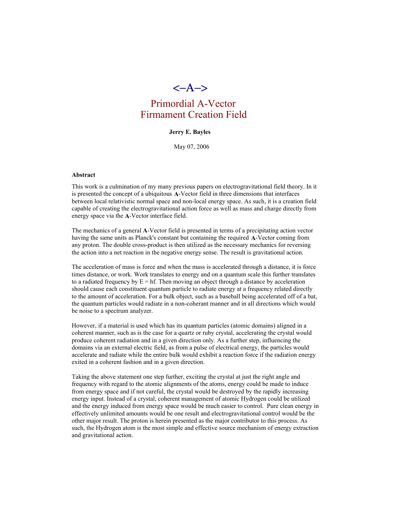

# Primordial A-Vector Firmament Creation Field

#### **Jerry E. Bayles**

May 07, 2006

### **Abstract**

This work is a culmination of my many previous papers on electrogravitational field theory. In it is presented the concept of a ubiquitous **A**-Vector field in three dimensions that interfaces between local relativistic normal space and non-local energy space. As such, it is a creation field capable of creating the electrogravitational action force as well as mass and charge directly from energy space via the **A**-Vector interface field.

The mechanics of a general **A**-Vector field is presented in terms of a precipitating action vector having the same units as Planck's constant but containing the required **A**-Vector coming from any proton. The double cross-product is then utilized as the necessary mechanics for reversing the action into a net reaction in the negative energy sense. The result is gravitational action.

The acceleration of mass is force and when the mass is accelerated through a distance, it is force times distance, or work. Work translates to energy and on a quantum scale this further translates to a radiated frequency by  $E = hf$ . Then moving an object through a distance by acceleration should cause each constituent quantum particle to radiate energy at a frequency related directly to the amount of acceleration. For a bulk object, such as a baseball being accelerated off of a bat, the quantum particles would radiate in a non-coherant manner and in all directions which would be noise to a spectrum analyzer.

However, if a material is used which has its quantum particles (atomic domains) aligned in a coherent manner, such as is the case for a quartz or ruby crystal, accelerating the crystal would produce coherent radiation and in a given direction only. As a further step, influencing the domains via an external electric field, as from a pulse of electrical energy, the particles would accelerate and radiate while the entire bulk would exhibit a reaction force if the radiation energy exited in a coherent fashion and in a given direction.

Taking the above statement one step further, exciting the crystal at just the right angle and frequency with regard to the atomic alignments of the atoms, energy could be made to induce from energy space and if not careful, the crystal would be destroyed by the rapidly increasing energy input. Instead of a crystal, coherent management of atomic Hydrogen could be utilized and the energy induced from energy space would be much easier to control. Pure clean energy in effectively unlimited amounts would be one result and electrogravitational control would be the other major result. The proton is herein presented as the major contributor to this process. As such, the Hydrogen atom is the most simple and effective source mechanism of energy extraction and gravitational action.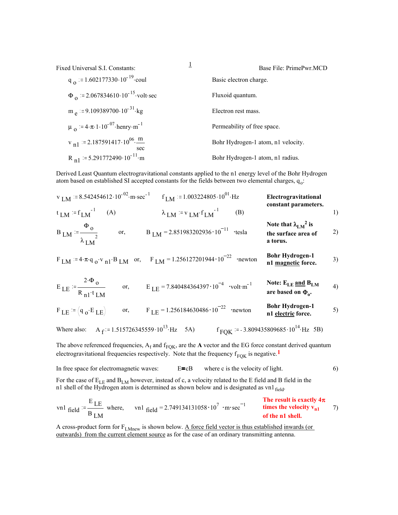| Fixed Universal S.I. Constants:                                       | Ŧ | Base File: PrimePwr.MCD            |
|-----------------------------------------------------------------------|---|------------------------------------|
| $q_{\Omega}$ = 1.602177330 · 10 <sup>-19</sup> coul                   |   | Basic electron charge.             |
| $\Phi_{\Omega}$ = 2.067834610 · 10 <sup>-15</sup> · volt · sec        |   | Fluxoid quantum.                   |
| $m_e$ = 9.109389700.10 <sup>-31</sup> kg                              |   | Electron rest mass.                |
| $\mu_{\Omega}$ = 4. $\pi$ . 1.10 <sup>-07</sup> henry m <sup>-1</sup> |   | Permeability of free space.        |
| $v_{n1}$ = 2.187591417.10 <sup>06</sup> $\frac{m}{m}$<br>sec          |   | Bohr Hydrogen-1 atom, n1 velocity. |
| $R_{n1}$ = 5.291772490 · 10 <sup>-11</sup> · m                        |   | Bohr Hydrogen-1 atom, n1 radius.   |

Derived Least Quantum electrogravitational constants applied to the n1 energy level of the Bohr Hydrogen atom based on established SI accepted constants for the fields between two elemental charges, q<sub>o</sub>:

|                                                          | $V_{LM}$ = 8.542454612 · 10 <sup>-02</sup> · m · sec <sup>-1</sup> f <sub>LM</sub> = 1.003224805 · 10 <sup>01</sup> · Hz | Electrogravitational<br>constant parameters.                     |    |
|----------------------------------------------------------|--------------------------------------------------------------------------------------------------------------------------|------------------------------------------------------------------|----|
| $t_{LM} = f_{LM}^{-1}$ (A)                               | $\lambda$ LM = v LM $f$ LM <sup>-1</sup><br>(B)                                                                          |                                                                  | 1) |
| $B_{LM} = \frac{\Phi_0}{\lambda_{LM}^2}$                 | or, $B_{LM} = 2.851983202936 \cdot 10^{-11}$ ·tesla                                                                      | Note that $\lambda_{LM}^2$ is<br>the surface area of<br>a torus. | 2) |
|                                                          | $F$ LM $:= 4 \cdot \pi \cdot q_0 \cdot v_{n1} \cdot B$ LM or, $F$ LM $= 1.256127201944 \cdot 10^{-22}$ •newton           | <b>Bohr Hydrogen-1</b><br>n1 magnetic force.                     | 3) |
| $E_{LE} = \frac{2 \cdot \Phi_0}{R_{nl} \cdot t_{LM}}$    | or, $E_{\text{LE}} = 7.840484364397 \cdot 10^{-4}$ volt m <sup>-1</sup>                                                  | Note: $E_{LE}$ and $B_{LM}$<br>are based on $\Phi_{\alpha}$ .    | 4) |
| $F_{LE}$ = $(q_o \cdot E_{LE})$                          | or, $F_{\text{LE}} = 1.256184630486 \cdot 10^{-22}$ •newton                                                              | <b>Bohr Hydrogen-1</b><br>n1 electric force.                     | 5) |
| Where also: A $_f = 1.515726345559 \cdot 10^{13}$ Hz 5A) |                                                                                                                          | $f_{\text{FOK}}$ = -3.809435809685 · 10 <sup>14</sup> · Hz 5B)   |    |

The above referenced frequencies,  $A_f$  and  $f_{FQK}$ , are the **A** vector and the EG force constant derived quantum electrogravitational frequencies respectively. Note that the frequency  $f_{FOK}$  is negative.<sup>1</sup>

In free space for electromagnetic waves:  $E = cB$  where c is the velocity of light. 6)

For the case of  $E_{LE}$  and  $B_{LM}$  however, instead of c, a velocity related to the E field and B field in the n1 shell of the Hydrogen atom is determined as shown below and is designated as vn1 $_{\rm field}$ .

$$
\text{vn1} \text{ field} = \frac{\text{E}}{\text{B}} \text{L} \text{m} \text{ where,} \qquad \text{vn1} \text{ field} = 2.749134131058 \cdot 10^7 \cdot \text{m} \cdot \text{sec}^{-1} \qquad \text{times the velocity } v_{n1} \qquad 7)
$$
\n
$$
\text{or the n1 shell.}
$$

A cross-product form for FLMnew is shown below. A force field vector is thus established inwards (or outwards) from the current element source as for the case of an ordinary transmitting antenna.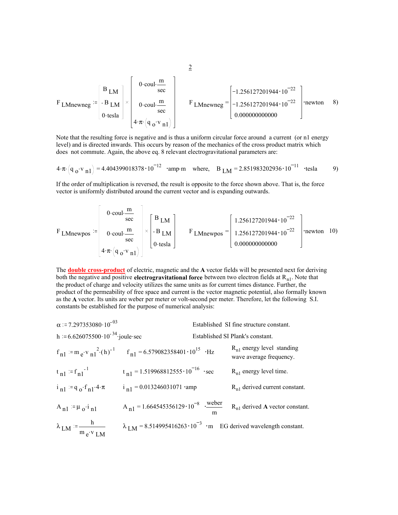$$
F_{\text{LMnewneg}} = \begin{bmatrix} B_{\text{LM}} \\ -B_{\text{LM}} \\ 0 \cdot \text{tesla} \end{bmatrix} \times \begin{bmatrix} 0 \cdot \text{coul} \cdot \frac{m}{\text{sec}} \\ 0 \cdot \text{coul} \cdot \frac{m}{\text{sec}} \\ 4 \cdot \pi \cdot (q_{\text{o}} \cdot v_{\text{n}1}) \end{bmatrix} \qquad F_{\text{LMnewneg}} = \begin{bmatrix} -1.256127201944 \cdot 10^{-22} \\ -1.256127201944 \cdot 10^{-22} \\ 0.00000000000 \end{bmatrix} \cdot \text{newton} \qquad 8)
$$

Note that the resulting force is negative and is thus a uniform circular force around a current (or n1 energy level) and is directed inwards. This occurs by reason of the mechanics of the cross product matrix which does not commute. Again, the above eq. 8 relevant electrogravitational parameters are:

$$
4 \cdot \pi \cdot (q_0 \cdot v_{n1}) = 4.404399018378 \cdot 10^{-12} \cdot \text{amp} \cdot m \quad \text{where,} \quad B_{LM} = 2.851983202936 \cdot 10^{-11} \cdot \text{tesla}
$$

If the order of multiplication is reversed, the result is opposite to the force shown above. That is, the force vector is uniformly distributed around the current vector and is expanding outwards.

$$
F_{\text{LMnewpos}} = \begin{bmatrix} 0 \cdot \text{coul} \cdot \frac{m}{\text{sec}} \\ 0 \cdot \text{coul} \cdot \frac{m}{\text{sec}} \\ 4 \cdot \pi \cdot (q_o \cdot v_{n1}) \end{bmatrix} \times \begin{bmatrix} B_{\text{LM}} \\ -B_{\text{LM}} \\ 0 \cdot \text{tesla} \end{bmatrix} \qquad F_{\text{LMnewpos}} = \begin{bmatrix} 1.256127201944 \cdot 10^{-22} \\ 1.256127201944 \cdot 10^{-22} \\ 0.000000000000 \end{bmatrix} \text{.} \text{newton} \quad 10)
$$

The **double cross-product** of electric, magnetic and the **A** vector fields will be presented next for deriving both the negative and positive **electrogravitational force** between two electron fields at R<sub>n1</sub>. Note that the product of charge and velocity utilizes the same units as for current times distance. Further, the product of the permeability of free space and current is the vector magnetic potential, also formally known as the **A** vector. Its units are weber per meter or volt-second per meter. Therefore, let the following S.I. constants be established for the purpose of numerical analysis:

| $\alpha$ = 7.297353080 · 10 <sup>-03</sup>           |                                                                                             |   | Established SI fine structure constant.                   |
|------------------------------------------------------|---------------------------------------------------------------------------------------------|---|-----------------------------------------------------------|
| h = $6.626075500 \cdot 10^{-34}$ joule sec           |                                                                                             |   | Established SI Plank's constant.                          |
|                                                      | $f_{n1} := m_e v_{n1}^2 (h)^{-1}$ $f_{n1} = 6.579082358401 \cdot 10^{15}$ · Hz              |   | $R_{n1}$ energy level standing<br>wave average frequency. |
| $t_{n1} = f_{n1}^{-1}$                               | $t_{n1} = 1.519968812555 \cdot 10^{-16}$ sec                                                |   | $R_{n1}$ energy level time.                               |
| $i_{n1}$ = q <sub>0</sub> .f <sub>n1</sub> .4. $\pi$ | $i_{n1} = 0.013246031071$ amp                                                               |   | $R_{n1}$ derived current constant.                        |
| $A_{n1} = \mu_0 \cdot i_{n1}$                        | A <sub>n1</sub> = 1.664545356129 · 10 <sup>-8</sup> · <u>weber</u>                          | m | $R_{n1}$ derived A vector constant.                       |
| $\lambda$ LM $=$ $\frac{h}{m_e v_{LM}}$              | $\lambda_{LM}$ = 8.514995416263 $\cdot$ 10 <sup>-3</sup> ·m EG derived wavelength constant. |   |                                                           |

$$
\overline{2}
$$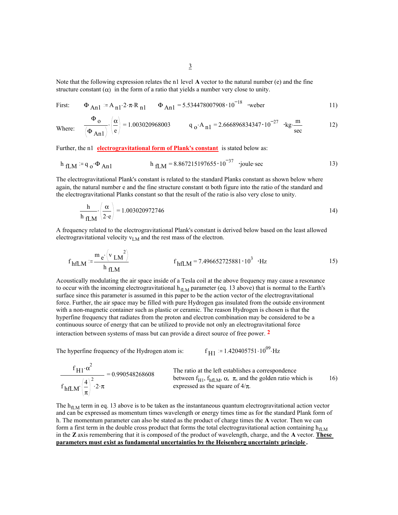Note that the following expression relates the n1 level **A** vector to the natural number (e) and the fine structure constant  $(\alpha)$  in the form of a ratio that yields a number very close to unity.

First: 
$$
\Phi_{An1} := A_{n1} \cdot 2 \cdot \pi \cdot R_{n1}
$$
  $\Phi_{An1} = 5.534478007908 \cdot 10^{-18}$  weber

Where: 
$$
\frac{\Phi_0}{(\Phi_{An1})} \cdot \left(\frac{\alpha}{e}\right) = 1.003020968003
$$
  $q_0 \cdot A_{n1} = 2.666896834347 \cdot 10^{-27}$   $\cdot kg \cdot \frac{m}{sec}$  12)

Further, the n1 **electrogravitational form of Plank's constant** is stated below as:

$$
h_{fLM} := q_o \cdot \Phi_{An1}
$$
  $h_{fLM} = 8.867215197655 \cdot 10^{-37}$  'joule-sec

The electrogravitational Plank's constant is related to the standard Planks constant as shown below where again, the natural number e and the fine structure constant  $\alpha$  both figure into the ratio of the standard and the electrogravitational Planks constant so that the result of the ratio is also very close to unity.

$$
\frac{h}{h_{\text{fLM}}} \cdot \left(\frac{\alpha}{2 \cdot e}\right) = 1.003020972746
$$

A frequency related to the electrogravitational Plank's constant is derived below based on the least allowed electrogravitational velocity  $v_{LM}$  and the rest mass of the electron.

$$
f_{\text{hfLM}} := \frac{m_e (v_{LM}^2)}{h_{\text{fLM}}} \qquad f_{\text{hfLM}} = 7.496652725881 \cdot 10^3 \cdot \text{Hz}
$$

Acoustically modulating the air space inside of a Tesla coil at the above frequency may cause a resonance to occur with the incoming electrogravitational  $h_{\text{ILM}}$  parameter (eq. 13 above) that is normal to the Earth's surface since this parameter is assumed in this paper to be the action vector of the electrogravitational force. Further, the air space may be filled with pure Hydrogen gas insulated from the outside environment with a non-magnetic container such as plastic or ceramic. The reason Hydrogen is chosen is that the hyperfine frequency that radiates from the proton and electron combination may be considered to be a continuous source of energy that can be utilized to provide not only an electrogravitational force interaction between systems of mass but can provide a direct source of free power. **2**

The hyperfine frequency of the Hydrogen atom is:  $f_{H1}$ 

$$
f_{\text{H1}} = 1.420405751 \cdot 10^{09} \text{ Hz}
$$

$$
\frac{f_{H1} \cdot \alpha^2}{f_{hfLM} \left(\frac{4}{\pi}\right)^2 \cdot 2 \cdot \pi} = 0.990548268608
$$
\nThe ratio at the left establishes a correspondence between  $f_{H1}$ ,  $f_{hfLM}$ ,  $\alpha$ ,  $\pi$ , and the golden ratio which is expressed as the square of  $4/\pi$ .

\nThe ratio at the left establishes a correspondence between  $f_{H1}$ ,  $f_{hfLM}$ ,  $\alpha$ ,  $\pi$ , and the golden ratio which is expressed as the square of  $4/\pi$ .

The  $h_{\text{fLM}}$  term in eq. 13 above is to be taken as the instantaneous quantum electrogravitational action vector and can be expressed as momentum times wavelength or energy times time as for the standard Plank form of h. The momentum parameter can also be stated as the product of charge times the **A** vector. Then we can form a first term in the double cross product that forms the total electrogravitational action containing  $h_{\text{fM}}$ in the **Z** axis remembering that it is composed of the product of wavelength, charge, and the **A** vector. **These parameters must exist as fundamental uncertainties by the Heisenberg uncertainty principle .**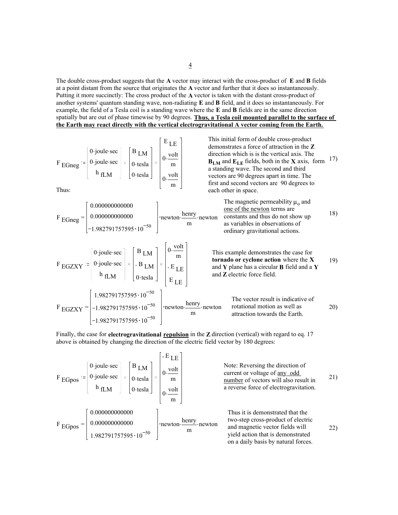The double cross-product suggests that the **A** vector may interact with the cross-product of **E** and **B** fields at a point distant from the source that originates the **A** vector and further that it does so instantaneously. Putting it more succinctly: The cross product of the **A** vector is taken with the distant cross-product of another systems' quantum standing wave, non-radiating **E** and **B** field, and it does so instantaneously. For example, the field of a Tesla coil is a standing wave where the **E** and **B** fields are in the same direction spatially but are out of phase timewise by 90 degrees. **Thus, a Tesla coil mounted parallel to the surface of the Earth may react directly with the vertical electrogravitational A vector coming from the Earth.**

This initial form of double cross-product demonstrates a force of attraction in the **Z** direction which is is the vertical axis. The **BLM** and **ELE** fields, both in the **X** axis, form a standing wave. The second and third vectors are 90 degrees apart in time. The first and second vectors are 90 degrees to each other in space. 17) <sup>F</sup> EGneg 0. . joule sec 0. . joule sec h fLM B LM 0.tesla 0.tesla E LE 0. volt m 0. volt <sup>m</sup> Thus: The magnetic permeability µo and one of the newton terms are constants and thus do not show up as variables in observations of ordinary gravitational actions. 18) <sup>F</sup> <sup>=</sup> EGneg 0.000000000000 0.000000000000 1.982791757595 10 <sup>50</sup> newton. . henry <sup>m</sup> newton This example demonstrates the case for **tornado or cyclone action** where the **X** and **Y** plane has a circular **B** field and a **Y** and **Z** electric force field. 19) <sup>F</sup> EGZXY 0. . joule sec 0. . joule sec h fLM B LM B LM 0.tesla 0. volt m E LE E LE The vector result is indicative of rotational motion as well as attraction towards the Earth. F = EGZXY 1.982791757595 10 <sup>50</sup> 1.982791757595 10 <sup>50</sup> 1.982791757595 10 <sup>50</sup> newton. . henry <sup>m</sup> newton 20)

Finally, the case for **electrogravitational repulsion** in the **Z** direction (vertical) with regard to eq. 17 above is obtained by changing the direction of the electric field vector by 180 degrees:

E LE 0. . joule sec B LM Note: Reversing the direction of volt 0. current or voltage of any odd 0. . joule sec F EGpos 0.tesla m number of vectors will also result in h fLM a reverse force of electrogravitation. 0.tesla volt 0. m 0.000000000000 Thus it is demonstrated that the newton. . henry two-step cross-product of electric 0.000000000000 F = EGpos <sup>m</sup> newton 22)and magnetic vector fields will 1.982791757595 10 <sup>50</sup> yield action that is demonstrated on a daily basis by natural forces.

21)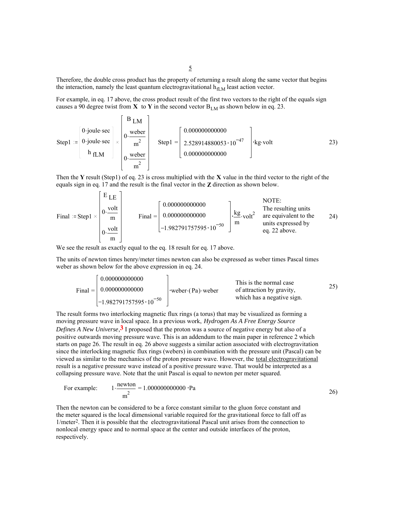Therefore, the double cross product has the property of returning a result along the same vector that begins the interaction, namely the least quantum electrogravitational  $h_{\text{fLM}}$  least action vector.

For example, in eq. 17 above, the cross product result of the first two vectors to the right of the equals sign causes a 90 degree twist from  $X$  to  $Y$  in the second vector  $B_{LM}$  as shown below in eq. 23.

Step 1 : 
$$
\left[\begin{array}{c} 0 \text{ - joule} \sec \\ 0 \text{ - joule} \sec \\ h \text{ fL} \end{array}\right] \times \left[\begin{array}{c} B \text{ L} \text{M} \\ 0 \cdot \text{weker} \\ \text{m}^2 \\ 0 \cdot \text{weker} \\ \text{m}^2 \end{array}\right]
$$
 Step 1 =  $\left[\begin{array}{c} 0.000000000000 \\ 2.528914880053 \cdot 10^{-47} \\ 0.0000000000000 \end{array}\right]$  + kg-volt

Then the **Y** result (Step1) of eq. 23 is cross multiplied with the **X** value in the third vector to the right of the equals sign in eq. 17 and the result is the final vector in the **Z** direction as shown below.

Final := Step 1 × 
$$
\begin{bmatrix} E & E \ 0.000 & 0.0000 & 0.0000 & 0.0000 & 0.0000 & 0.0000 & 0.0000 & 0.0000 & 0.0000 & 0.0000 & 0.0000 & 0.0000 & 0.0000 & 0.0000 & 0.0000 & 0.0000 & 0.0000 & 0.0000 & 0.0000 & 0.0000 & 0.0000 & 0.0000 & 0.0000 & 0.0000 & 0.0000 & 0.0000 & 0.0000 & 0.0000 & 0.0000 & 0.0000 & 0.0000 & 0.0000 & 0.0000 & 0.0000 & 0.0000 & 0.0000 & 0.0000 & 0.0000 & 0.0000 & 0.0000 & 0.0000 & 0.0000 & 0.0000 & 0.0000 & 0.0000 & 0.0000 & 0.0000 & 0.0000 & 0.0000 & 0.0000 & 0.0000 & 0.0000 & 0.0000 & 0.0000 & 0.0000 & 0.0000 & 0.0000 & 0.0000 & 0.0000 & 0.0000 & 0.0000 & 0.0000 & 0.0000 & 0.0000 & 0.0000 & 0.0000 & 0.0000 & 0.0000 & 0.0000 & 0.0000 & 0.0000 & 0.0000 & 0.0000 & 0.0000 & 0.0000 & 0.0000 & 0.0000 & 0.0000 & 0.0000 & 0.0000 & 0.0000 & 0.0000 & 0.0000 & 0.0000 & 0.0000 & 0.0000 & 0.0000 & 0.0000 & 0.0000 & 0.0000 & 0.0000 & 0.0000 & 0.0000 & 0.0
$$

We see the result as exactly equal to the eq. 18 result for eq. 17 above.

 $E = 1$ 

The units of newton times henry/meter times newton can also be expressed as weber times Pascal times weber as shown below for the above expression in eq. 24.

Final = 
$$
\begin{bmatrix} 0.000000000000 \\ 0.0000000000000 \\ -1.982791757595 \cdot 10^{-50} \end{bmatrix}
$$
 **weber** (Pa) weber **or or or or or or or or or or or or or or or or or or or or or or or or or or or or or or or or or or or or or or or or or or or or or or or or or or or or or or or or or or or or or or or or or or or or or or or or or or or or or or or or or or or or or or or or or or or or or or or or** 

The result forms two interlocking magnetic flux rings (a torus) that may be visualized as forming a moving pressure wave in local space. In a previous work, *Hydrogen As A Free Energy Source Defines A New Universe*,**3** I proposed that the proton was a source of negative energy but also of a positive outwards moving pressure wave. This is an addendum to the main paper in reference 2 which starts on page 26. The result in eq. 26 above suggests a similar action associated with electrogravitation since the interlocking magnetic flux rings (webers) in combination with the pressure unit (Pascal) can be viewed as similar to the mechanics of the proton pressure wave. However, the total electrogravitational result is a negative pressure wave instead of a positive pressure wave. That would be interpreted as a collapsing pressure wave. Note that the unit Pascal is equal to newton per meter squared.

For example: 
$$
1 \cdot \frac{\text{newton}}{\text{m}^2} = 1.00000000000 \cdot \text{Pa}
$$

Then the newton can be considered to be a force constant similar to the gluon force constant and the meter squared is the local dimensional variable required for the gravitational force to fall off as 1/meter2. Then it is possible that the electrogravitational Pascal unit arises from the connection to nonlocal energy space and to normal space at the center and outside interfaces of the proton, respectively.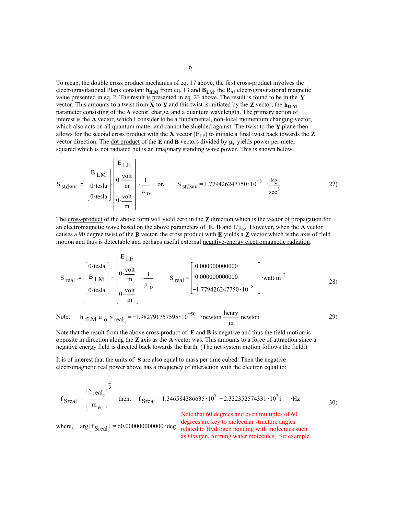To recap, the double cross product mechanics of eq. 17 above, the first cross-product involves the electrogravitational Plank constant  $\mathbf{h}_{\mathbf{f},\mathbf{M}}$  from eq. 13 and  $\mathbf{B}_{\mathbf{I},\mathbf{M}}$ , the  $\mathbf{R}_{\text{n}1}$  electrogravitational magnetic value presented in eq. 2. The result is presented in eq. 23 above. The result is found to be in the **Y** vector. This amounts to a twist from **X** to **Y** and this twist is initiated by the **Z** vector, the  $h_{\text{fLM}}$ parameter consisting of the **A** vector, charge, and a quantum wavelength. The primary action of interest is the **A** vector, which I consider to be a fundamental, non-local momentum changing vector, which also acts on all quantum matter and cannot be shielded against. The twist to the **Y** plane then allows for the second cross product with the **X** vector  $(E_{LE})$  to initiate a final twist back towards the **Z** vector direction. The <u>dot product</u> of the **E** and **B** vectors divided by  $\mu_0$  yields power per meter squared which is not radiated but is an imaginary standing wave power. This is shown below.

$$
S_{\text{stdwv}} = \begin{bmatrix} B_{\text{LM}} \\ 0 \cdot \text{tesla} \\ 0 \cdot \text{tesla} \end{bmatrix} \cdot \begin{bmatrix} E_{\text{LE}} \\ 0 \cdot \frac{\text{volt}}{\text{m}} \\ 0 \cdot \frac{1}{\text{m}} \end{bmatrix} \cdot \begin{bmatrix} 1 \\ 1 \cdot \frac{1}{\text{m}} \\ 0 \cdot \frac{\text{Volt}}{\text{m}} \end{bmatrix} \cdot \begin{bmatrix} 1 \\ 0 \cdot \frac{\text{Volt}}{\text{m}} \end{bmatrix} \cdot \begin{bmatrix} 1 \\ 0 \cdot \frac{\text{Volt}}{\text{m}} \end{bmatrix} \cdot \begin{bmatrix} 1 \\ 0 \cdot \frac{\text{Volt}}{\text{m}} \end{bmatrix} \cdot \begin{bmatrix} 1 \\ 0 \cdot \frac{\text{Volt}}{\text{m}} \end{bmatrix} \cdot \begin{bmatrix} 1 \\ 0 \cdot \frac{\text{Volt}}{\text{m}} \end{bmatrix} \cdot \begin{bmatrix} 1 \\ 0 \cdot \frac{\text{Volt}}{\text{m}} \end{bmatrix} \cdot \begin{bmatrix} 1 \\ 0 \cdot \frac{\text{Volt}}{\text{m}} \end{bmatrix} \cdot \begin{bmatrix} 1 \\ 0 \cdot \frac{\text{Volt}}{\text{m}} \end{bmatrix} \cdot \begin{bmatrix} 1 \\ 0 \cdot \frac{\text{Volt}}{\text{m}} \end{bmatrix} \cdot \begin{bmatrix} 1 \\ 0 \cdot \frac{\text{Volt}}{\text{m}} \end{bmatrix} \cdot \begin{bmatrix} 1 \\ 0 \cdot \frac{\text{Volt}}{\text{m}} \end{bmatrix} \cdot \begin{bmatrix} 1 \\ 0 \cdot \frac{\text{Volt}}{\text{m}} \end{bmatrix} \cdot \begin{bmatrix} 1 \\ 0 \cdot \frac{\text{Volt}}{\text{m}} \end{bmatrix} \cdot \begin{bmatrix} 1 \\ 0 \cdot \frac{\text{Volt}}{\text{m}} \end{bmatrix} \cdot \begin{bmatrix} 1 \\ 0 \cdot \frac{\text{Volt}}{\text{m}} \end{bmatrix} \cdot \begin{bmatrix} 1 \\ 0 \cdot \frac{\text{Volt}}{\text{m}} \end{bmatrix} \cdot \begin{bmatrix} 1 \\ 0 \cdot \frac{\text{Volt}}{\text{m}} \end{bmatrix} \cdot \begin{bmatrix} 1 \\ 0 \cdot \frac{\text{Volt}}{\text{m}}
$$

The cross-product of the above form will yield zero in the **Z** direction which is the vector of propagation for an electromagnetic wave based on the above parameters of  $\mathbf{E}$ , **B** and  $1/\mu_0$ . However, when the **A** vector causes a 90 degree twist of the **B** vector, the cross product with **E** yields a **Z** vector which is the axis of field motion and thus is detectable and perhaps useful external negative-energy electromagnetic radiation.

$$
S_{\text{real}} := \begin{bmatrix} 0 \text{-tesla} \\ B \text{ LM} \\ 0 \text{-tesla} \end{bmatrix} \times \begin{bmatrix} E_{\text{LE}} \\ 0 \cdot \frac{\text{volt}}{\text{m}} \\ 0 \cdot \frac{1}{\text{m}} \end{bmatrix} \cdot \begin{bmatrix} 1 & 0.00000000000 \\ \frac{1}{\mu_{\text{O}}} & 1.779426247750 \cdot 10^{-8} \end{bmatrix} \cdot \text{watt} \cdot \text{m}^{-2}
$$

Note: 
$$
h_{\text{fLM}} \mu_0 \cdot S_{\text{real}_2} = -1.982791757595 \cdot 10^{-50}
$$
  $\cdot \text{newton} \cdot \frac{\text{henry}}{\text{m}}$   $\cdot \text{newton}$  (29)

Note that the result from the above cross product of **E** and **B** is negative and thus the field motion is opposite in direction along the **Z** axis as the **A** vector was. This amounts to a force of attraction since a negative energy field is directed back towards the Earth. (The net system motion follows the field.)

It is of interest that the units of **S** are also equal to mass per time cubed. Then the negative electromagnetic real power above has a frequency of interaction with the electron equal to:

 $\overline{a}$ 

$$
f_{\text{Sreal}} := \left(\frac{S_{\text{real}_2}}{m_e}\right)^{\frac{1}{3}}
$$
 then,  $f_{\text{Sreal}} = 1.346584386635 \cdot 10^7 + 2.332352574331 \cdot 10^7 i \cdot \text{Hz}$  30)

where,  $arg(f_{\text{Sreal}}) = 60.00000000000 \cdot deg$ 

Note that 60 degrees and even multiples of 60 degrees are key to molecular structure angles related to Hydrogen bonding with molecules such as Oxygen, forming water molecules, for example.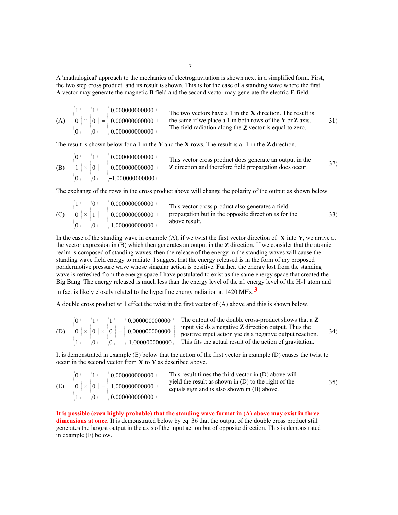A 'mathalogical' approach to the mechanics of electrogravitation is shown next in a simplified form. First, the two step cross product and its result is shown. This is for the case of a standing wave where the first **A** vector may generate the magnetic **B** field and the second vector may generate the electric **E** field.

The two vectors have a 1 in the **X** direction. The result is the same if we place a 1 in both rows of the **Y** or **Z** axis. The field radiation along the **Z** vector is equal to zero. (A) = 1 0 0 0 1 0 0.000000000000 0.000000000000 0.000000000000 31)

The result is shown below for a 1 in the **Y** and the **X** rows. The result is a -1 in the **Z** direction.

(B) 
$$
\begin{pmatrix} 0 \\ 1 \\ 0 \end{pmatrix} \times \begin{pmatrix} 1 \\ 0 \\ 0 \end{pmatrix} = \begin{pmatrix} 0.00000000000 \\ 0.000000000000 \\ -1.000000000000 \end{pmatrix}
$$
 This vector cross product does generate an output in the Z direction and therefore field propagation does occur.

The exchange of the rows in the cross product above will change the polarity of the output as shown below.

|     |            |  | (0.00000000000) | This vector cross product also generates a field     |     |
|-----|------------|--|-----------------|------------------------------------------------------|-----|
| (C) | $0 \times$ |  |                 | propagation but in the opposite direction as for the | 33) |
|     |            |  | 1.000000000000  | above result.                                        |     |

In the case of the standing wave in example (A), if we twist the first vector direction of **X** into **Y**, we arrive at the vector expression in (B) which then generates an output in the **Z** direction. If we consider that the atomic realm is composed of standing waves, then the release of the energy in the standing waves will cause the standing wave field energy to radiate. I suggest that the energy released is in the form of my proposed pondermotive pressure wave whose singular action is positive. Further, the energy lost from the standing wave is refreshed from the energy space I have postulated to exist as the same energy space that created the Big Bang. The energy released is much less than the energy level of the n1 energy level of the H-1 atom and

in fact is likely closely related to the hyperfine energy radiation at 1420 MHz.**3**

A double cross product will effect the twist in the first vector of (A) above and this is shown below.

|     |  |          |  | $\mid 0.000000000000$                                                      | The output of the double cross-product shows that a Z                                                              |     |
|-----|--|----------|--|----------------------------------------------------------------------------|--------------------------------------------------------------------------------------------------------------------|-----|
| (D) |  |          |  | $ 0 \rangle \times  0 \rangle \times  0 \rangle =  0.000000000000 \rangle$ | input yields a negative $Z$ direction output. Thus the<br>positive input action yields a negative output reaction. | 34) |
|     |  | $\Omega$ |  | $-1.000000000000$                                                          | This fits the actual result of the action of gravitation.                                                          |     |

It is demonstrated in example (E) below that the action of the first vector in example (D) causes the twist to occur in the second vector from **X** to **Y** as described above.

|     |  |  | (0.00000000000)                                  | This result times the third vector in (D) above will                                                  |     |
|-----|--|--|--------------------------------------------------|-------------------------------------------------------------------------------------------------------|-----|
| (E) |  |  | $ 0 \rangle \times  0 \rangle =  1.000000000000$ | yield the result as shown in $(D)$ to the right of the<br>equals sign and is also shown in (B) above. | 35) |
|     |  |  | $\big  0.000000000000$                           |                                                                                                       |     |

**It is possible (even highly probable) that the standing wave format in (A) above may exist in three dimensions at once.** It is demonstrated below by eq. 36 that the output of the double cross product still generates the largest output in the axis of the input action but of opposite direction. This is demonstrated in example (F) below.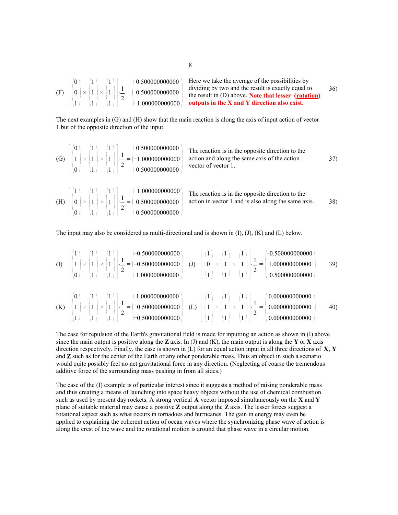| $ 0\rangle$ |  | $\left  \begin{array}{c} \end{array} \right $   2 | $\left( 0.500000000000 \right)$<br>(F) $\left  \begin{array}{c} 0 \end{array} \right  \times \left  1 \right  \times \left  1 \right  \left  \begin{array}{c} 1 \end{array} \right  = \left  0.5000000000000 \right  \right $ | Here we take the average of the possibilities by<br>dividing by two and the result is exactly equal to<br>the result in $(D)$ above. Note that lesser (rotation) | 36) |
|-------------|--|---------------------------------------------------|-------------------------------------------------------------------------------------------------------------------------------------------------------------------------------------------------------------------------------|------------------------------------------------------------------------------------------------------------------------------------------------------------------|-----|
|             |  |                                                   |                                                                                                                                                                                                                               | $ -1.000000000000 $ outputs in the X and Y direction also exist.                                                                                                 |     |

The next examples in (G) and (H) show that the main reaction is along the axis of input action of vector 1 but of the opposite direction of the input.

The reaction is in the opposite direction to the action and along the same axis of the action vector of vector 1. (G) . = 0 1 0 1 1 1 1 1 1 1 2 0.500000000000 1.000000000000 0.500000000000 37) The reaction is in the opposite direction to the (H) = action in vector 1 and is also along the same axis. . 1 0 0 1 1 1 1 1 1 1 2 1.000000000000 0.500000000000 0.500000000000 38)

The input may also be considered as multi-directional and is shown in  $(I)$ ,  $(J)$ ,  $(K)$  and  $(L)$  below.

(I) . = 1 1 0 1 1 1 1 1 1 1 2 0.500000000000 0.500000000000 1.000000000000 (J) . = 1 0 1 1 1 1 1 1 1 1 2 0.500000000000 1.000000000000 0.500000000000 39) (K) . = 0 1 1 1 1 1 1 1 1 1 2 1.000000000000 0.500000000000 0.500000000000 (L) . = 1 1 1 1 1 1 1 1 1 1 2 0.000000000000 0.000000000000 0.000000000000 40)

The case for repulsion of the Earth's gravitational field is made for inputting an action as shown in (I) above since the main output is positive along the **Z** axis. In (J) and (K), the main output is along the **Y** or **X** axis direction respectively. Finally, the case is shown in (L) for an equal action input in all three directions of **X**, **Y** and **Z** such as for the center of the Earth or any other ponderable mass. Thus an object in such a scenario would quite possibly feel no net gravitational force in any direction. (Neglecting of coarse the tremendous additive force of the surrounding mass pushing in from all sides.)

The case of the (I) example is of particular interest since it suggests a method of raising ponderable mass and thus creating a means of launching into space heavy objects without the use of chemical combustion such as used by present day rockets. A strong vertical **A** vector imposed simultaneously on the **X** and **Y** plane of suitable material may cause a positive **Z** output along the **Z** axis. The lesser forces suggest a rotational aspect such as what occurs in tornadoes and hurricanes. The gain in energy may even be applied to explaining the coherent action of ocean waves where the synchronizing phase wave of action is along the crest of the wave and the rotational motion is around that phase wave in a circular motion.

8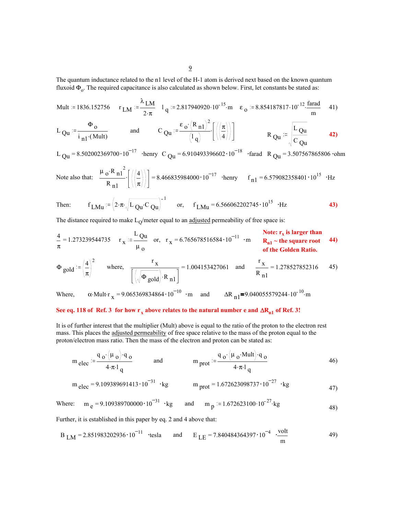The quantum inductance related to the n1 level of the H-1 atom is derived next based on the known quantum fluxoid  $\Phi_0$ . The required capacitance is also calculated as shown below. First, let constants be stated as:

Mult := 1836.152756 
$$
r_{LM} = \frac{\lambda_{LM}}{2 \cdot \pi}
$$
 1<sub>q</sub> := 2.817940920·10<sup>-15</sup>·m  $\varepsilon_0$  := 8.854187817·10<sup>-12</sup>· $\frac{\text{farad}}{\text{m}}$  41)

$$
L_{\text{Qu}} := \frac{\Phi_{o}}{i_{n1} \cdot (Mult)} \qquad \text{and} \qquad C_{\text{Qu}} := \frac{\varepsilon_{o} \cdot (R_{n1})^{2}}{\left(1_{q}\right)} \left[\left(\left(\frac{\pi}{4}\right)\right)\right] \qquad \qquad R_{\text{Qu}} := \frac{L_{\text{Qu}}}{C_{\text{Qu}}} \qquad \text{42}
$$

L  $_{\text{Qu}}$  = 8.502002369700 $\cdot$ 10<sup>-17</sup> ·henry C  $_{\text{Qu}}$  = 6.910493396602 $\cdot$ 10<sup>-18</sup> ·farad R  $_{\text{Qu}}$  = 3.507567865806 ·ohm

Note also that: 
$$
\frac{\mu_0 \cdot R_{n1}^2}{R_{n1}} \left[ \left( \left( \frac{4}{\pi} \right) \right) \right] = 8.466835984000 \cdot 10^{-17}
$$
 then  $f_{n1} = 6.579082358401 \cdot 10^{15}$  · Hz

Then: 
$$
f_{LMu} = (2 \cdot \pi \sqrt{L_{Qu} \cdot C_{Qu}})^{-1}
$$
 or,  $f_{LMu} = 6.566062202745 \cdot 10^{15} \cdot Hz$  43)

The distance required to make  $L<sub>O</sub>$ /meter equal to an adjusted permeability of free space is:

$$
\frac{4}{\pi} = 1.273239544735
$$
 
$$
r_x := \frac{L_{\text{Qu}}}{\mu_o}
$$
 or, 
$$
r_x = 6.765678516584 \cdot 10^{-11}
$$
 
$$
r = 6.765678516584 \cdot 10^{-11}
$$
 
$$
r = 6.765678516584 \cdot 10^{-11}
$$
 
$$
r = 6.765678516584 \cdot 10^{-11}
$$
 
$$
r = 6.765678516584 \cdot 10^{-11}
$$
 
$$
r = 6.765678516584 \cdot 10^{-11}
$$
 
$$
r = 6.765678516584 \cdot 10^{-11}
$$
 
$$
r = 6.765678516584 \cdot 10^{-11}
$$
 
$$
r = 6.765678516584 \cdot 10^{-11}
$$
 
$$
r = 6.765678516584 \cdot 10^{-11}
$$
 
$$
r = 6.765678516584 \cdot 10^{-11}
$$
 
$$
r = 6.765678516584 \cdot 10^{-11}
$$
 
$$
r = 6.765678516584 \cdot 10^{-11}
$$

$$
\Phi_{\text{gold}} := \left(\frac{4}{\pi}\right)^2 \quad \text{where,} \quad \frac{r_x}{\left[\left(\sqrt{\Phi_{\text{gold}}}\right) \cdot R_{n1}\right]} = 1.004153427061 \quad \text{and} \quad \frac{r_x}{R_{n1}} = 1.278527852316 \quad 45)
$$

Where,  $\alpha$ ·Mult·r  $x = 9.065369834864 \cdot 10^{-10}$  ·m and  $\Delta R_{n1} = 9.040055579244 \cdot 10^{-10}$ ·m

## See eq. 118 of Ref. 3 for how r<sub>x</sub> above relates to the natural number e and ∆R<sub>n1</sub> of Ref. 3!

It is of further interest that the multiplier (Mult) above is equal to the ratio of the proton to the electron rest mass. This places the adjusted permeability of free space relative to the mass of the proton equal to the proton/electron mass ratio. Then the mass of the electron and proton can be stated as:

$$
m_{\text{elec}} = \frac{q_{o} \left(\mu_{o}\right) q_{o}}{4 \cdot \pi \cdot 1_{q}} \qquad \text{and} \qquad m_{\text{prot}} = \frac{q_{o} \left(\mu_{o} \cdot \text{Mult}\right) q_{o}}{4 \cdot \pi \cdot 1_{q}} \qquad (46)
$$

$$
m_{\text{elec}} = 9.109389691413 \cdot 10^{-31} \cdot \text{kg} \qquad m_{\text{prot}} = 1.672623098737 \cdot 10^{-27} \cdot \text{kg}
$$

Where:  $m_e = 9.109389700000 \cdot 10^{-31}$  ·kg and  $m_p = 1.672623100 \cdot 10^{-27}$ ·kg 48)

Further, it is established in this paper by eq. 2 and 4 above that:

$$
B_{LM} = 2.851983202936 \cdot 10^{-11} \quad \text{tesla} \quad \text{and} \quad E_{LE} = 7.840484364397 \cdot 10^{-4} \quad \frac{\text{volt}}{\text{m}} \tag{49}
$$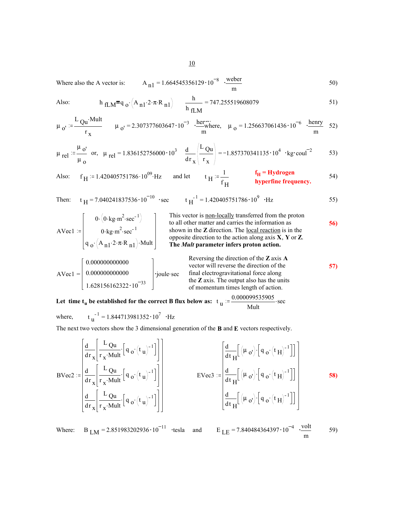Where also the A vector is:  $A_{n1} = 1.664545356129 \cdot 10^{-8} \cdot \frac{\text{weber}}{\text{m}}$  (50)

Also: 
$$
h_{fLM} = q_0 \cdot (A_{n1} \cdot 2 \cdot \pi \cdot R_{n1})
$$
  $\frac{h}{h_{fLM}} = 747.255519608079$  51)

$$
\mu_0 = \frac{L_{\text{Qu}} \cdot \text{Mult}}{r_x} \qquad \mu_0 = 2.307377603647 \cdot 10^{-3} \quad \frac{\text{herr}}{\text{m}} \quad \mu_0 = 1.256637061436 \cdot 10^{-6} \quad \frac{\text{henry}}{\text{m}} \quad 52)
$$

$$
\mu_{\text{rel}} := \frac{\mu_{\text{o'}}}{\mu_{\text{o}}} \quad \text{or,} \quad \mu_{\text{rel}} = 1.836152756000 \cdot 10^3 \quad \frac{\text{d}}{\text{d}\text{r}_x} \left( \frac{L_{\text{Qu}}}{r_x} \right) = -1.857370341135 \cdot 10^4 \quad \text{kg} \cdot \text{coul}^{-2} \tag{53}
$$

Also: 
$$
f_H := 1.420405751786 \cdot 10^{09} \cdot Hz
$$
 and let  $f_H := \frac{1}{f_H}$   $f_H = \text{Hydrogen}$   $f_H = \text{Hydrogen}$  54)

Then: 
$$
t_H = 7.040241837536 \cdot 10^{-10}
$$
 sec  $t_H^{-1} = 1.420405751786 \cdot 10^9$  Hz 55)

| \n $AVec1 := \begin{bmatrix}\n 0 \cdot (0 \cdot \text{kg} \cdot \text{m}^2 \cdot \text{sec}^{-1}) \\  0 \cdot \text{kg} \cdot \text{m}^2 \cdot \text{sec}^{-1} \\  0 \cdot \text{kg} \cdot \text{m}^2 \cdot \text{sec}^{-1}\n \end{bmatrix}$ \n | \n        This vector is <u>non-locally</u> transferred from the proton to all other matter and carries the information as shown in the <b>Z</b> direction. The <u>local reaction</u> is in the opposite direction to the action along axis <b>X</b> , <b>Y</b> or <b>Z</b> .\n | \n        56\n                                                                                             |                |
|-------------------------------------------------------------------------------------------------------------------------------------------------------------------------------------------------------------------------------------------------|---------------------------------------------------------------------------------------------------------------------------------------------------------------------------------------------------------------------------------------------------------------------------------|------------------------------------------------------------------------------------------------------------|----------------|
| \n $q \cdot (A_{n1} \cdot 2 \cdot \pi \cdot R_{n1}) \cdot \text{Mult}\n \end{bmatrix}$ \n                                                                                                                                                       | \n        The <i>Mult</i> parameter infers proton action.\n                                                                                                                                                                                                                     | \n        Reversing the direction of the <b>Z</b> axis <b>A</b> vector will reverse the direction of the\n | \n        57\n |

$$
AVec1 = \begin{bmatrix} 0.00000000000 \\ 0.00000000000 \\ 1.628156162322 \cdot 10^{-33} \end{bmatrix}
$$
 'joule-sec

vector will reverse the direction of the final electrogravitational force along the **Z** axis. The output also has the units of momentum times length of action.

Let time t<sub>u</sub> be established for the correct B flux below as:  $t_{\rm u} = \frac{0.000099535905}{\rm Mult}$ . sec

where, 
$$
t_{\text{u}}^{-1} = 1.844713981352 \cdot 10^7 \cdot \text{Hz}
$$

 $\mathcal{L}$ 

The next two vectors show the 3 dimensional generation of the **B** and **E** vectors respectively.

$$
BVec2 := \begin{bmatrix} \frac{d}{dr} \left[ \frac{L_{Qu}}{r_x \cdot Mult} \left[ q_o \cdot (t_u)^{-1} \right] \right] & \frac{d}{dt} \left[ \frac{d}{dt} \left[ (\mu_o)^{\cdot} \left[ q_o \cdot (t_H)^{-1} \right] \right] \end{bmatrix}
$$
  
\n
$$
BVec2 := \begin{bmatrix} \frac{d}{dr} \left[ \frac{L_{Qu}}{r_x \cdot Mult} \left[ q_o \cdot (t_u)^{-1} \right] \right] & \frac{1}{dt} \left[ \frac{L_{Qu}}{r_x \cdot Mult} \left[ q_o \cdot (t_u)^{-1} \right] \right] & \frac{1}{dt} \left[ \frac{L_{Qu}}{dr_x} \left[ \frac{L_{Qu}}{r_x \cdot Mult} \left[ q_o \cdot (t_u)^{-1} \right] \right] & \frac{1}{dt} \left[ \frac{L_{Qu}}{dr_x} \left[ \frac{L_{Qu}}{r_x \cdot Mult} \left[ q_o \cdot (t_u)^{-1} \right] \right] & \frac{1}{dt} \left[ \frac{L_{Qu}}{dr_x} \left[ \frac{L_{Qu}}{dr_x} \left[ \frac{L_{Qu}}{dr_x} \right] & \frac{1}{dt} \left[ \frac{L_{Qu}}{dr_x} \right] & \frac{1}{dt} \left[ \frac{L_{Qu}}{dr_x} \left[ \frac{L_{Qu}}{dr_x} \right] & \frac{1}{dt} \left[ \frac{L_{Qu}}{dr_x} \right] & \frac{1}{dt} \left[ \frac{L_{Qu}}{dr_x} \left[ \frac{L_{Qu}}{dr_x} \right] & \frac{1}{dt} \left[ \frac{L_{Qu}}{dr_x} \right] & \frac{1}{dt} \left[ \frac{L_{Qu}}{dr_x} \left[ \frac{L_{Qu}}{dr_x} \right] & \frac{1}{dt} \left[ \frac{L_{Qu}}{dr_x} \right] & \frac{1}{dt} \left[ \frac{L_{Qu}}{dr_x} \right] & \frac{1}{dt} \left[ \frac{L_{Qu}}{dr_x} \right] & \frac{1}{dt} \left[ \frac{L_{Qu}}{dr_x} \left[ \frac{L_{Qu}}{dr_x} \right] & \frac{1}{dt} \left[ \frac{L_{Qu}}{dr_x} \left[ \frac{L_{Qu}}{dr_x} \right] & \frac{1}{dt} \left[ \frac{L_{Qu}}{dr_x} \right]
$$

Where: B  $_{LM}$  = 2.851983202936 $\cdot 10^{-11}$  ·tesla and

$$
E_{LE} = 7.840484364397 \cdot 10^{-4} \cdot \frac{volt}{m}
$$
 59)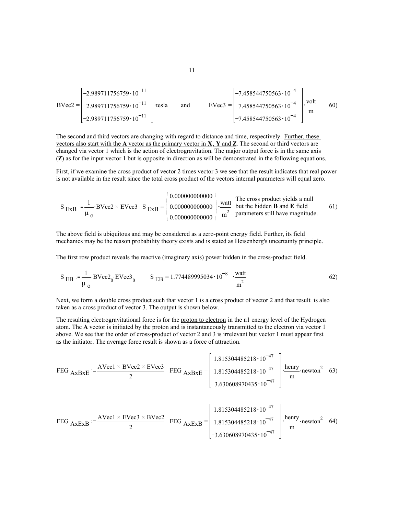$$
BVec2 = \begin{bmatrix} -2.989711756759 \cdot 10^{-11} \\ -2.989711756759 \cdot 10^{-11} \\ -2.989711756759 \cdot 10^{-11} \end{bmatrix} \cdot \text{tesla} \quad \text{and} \quad EVec3 = \begin{bmatrix} -7.458544750563 \cdot 10^{-4} \\ -7.458544750563 \cdot 10^{-4} \\ -7.458544750563 \cdot 10^{-4} \end{bmatrix} \cdot \begin{bmatrix} \text{volt} \\ \text{m} \end{bmatrix} \quad 60)
$$

The second and third vectors are changing with regard to distance and time, respectively. Further, these vectors also start with the **A** vector as the primary vector in **X**, **Y** and **Z**. The second or third vectors are changed via vector 1 which is the action of electrogravitation. The major output force is in the same axis (**Z**) as for the input vector 1 but is opposite in direction as will be demonstrated in the following equations.

First, if we examine the cross product of vector 2 times vector 3 we see that the result indicates that real power is not available in the result since the total cross product of the vectors internal parameters will equal zero.

The cross product yields a null but the hidden **B** and **E** field parameters still have magnitude. <sup>S</sup> ExB . <sup>1</sup> µ o BVec2 EVec3 S = ExB 0.000000000000 0.000000000000 0.000000000000 watt m2 61)

The above field is ubiquitous and may be considered as a zero-point energy field. Further, its field mechanics may be the reason probability theory exists and is stated as Heisenberg's uncertainty principle.

The first row product reveals the reactive (imaginary axis) power hidden in the cross-product field.

$$
S_{EB} := \frac{1}{\mu_0} \cdot BVec2_0 \cdot EVec3_0 \qquad S_{EB} = 1.774489995034 \cdot 10^{-8} \cdot \frac{watt}{m^2}
$$
 (62)

Next, we form a double cross product such that vector 1 is a cross product of vector 2 and that result is also taken as a cross product of vector 3. The output is shown below.

The resulting electrogravitational force is for the <u>proton to electron</u> in the n1 energy level of the Hydrogen atom. The **A** vector is initiated by the proton and is instantaneously transmitted to the electron via vector 1 above. We see that the order of cross-product of vector 2 and 3 is irrelevant but vector 1 must appear first as the initiator. The average force result is shown as a force of attraction.

$$
\text{FEG}_{\text{AxBxE}} := \frac{\text{AVec1} \times \text{BVec2} \times \text{EVec3}}{2} \quad \text{FEG}_{\text{AxBxE}} = \begin{bmatrix} 1.815304485218 \cdot 10^{-47} \\ 1.815304485218 \cdot 10^{-47} \\ -3.630608970435 \cdot 10^{-47} \end{bmatrix} \cdot \frac{\text{henry}}{\text{m}} \cdot \text{newton}^2 \quad 63)
$$

$$
\text{FEG}_{\text{AxExB}} := \frac{\text{AVec1} \times \text{EVec3} \times \text{BVec2}}{2} \quad \text{FEG}_{\text{AxExB}} = \begin{bmatrix} 1.815304485218 \cdot 10^{-47} \\ 1.815304485218 \cdot 10^{-47} \\ -3.630608970435 \cdot 10^{-47} \end{bmatrix} \cdot \frac{\text{henry}}{\text{m}} \cdot \text{newton}^2 \quad 64)
$$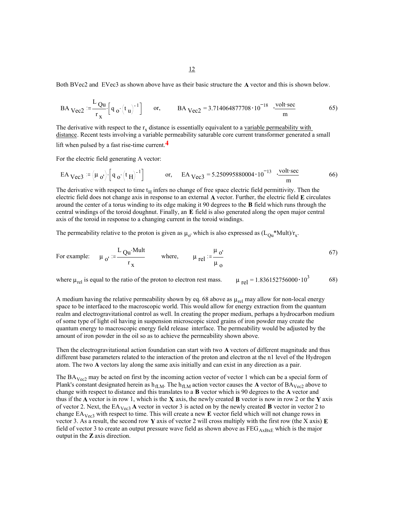Both BVec2 and EVec3 as shown above have as their basic structure the **A** vector and this is shown below.

$$
BA\, \, \text{Vec2} := \frac{L\, \, \text{Qu}}{r_{\,X}} \left[ q_{\,0} \cdot \left( t_{\,U} \right)^{-1} \right] \qquad \text{or,} \qquad \text{BA}\, \, \text{Vec2} = 3.714064877708 \cdot 10^{-18} \quad \frac{\text{volt-sec}}{m} \tag{65}
$$

The derivative with respect to the  $r_x$  distance is essentially equivalent to a variable permeability with distance. Recent tests involving a variable permeability saturable core current transformer generated a small lift when pulsed by a fast rise-time current.**4**

For the electric field generating A vector:

$$
EA_{\text{Vec3}} = (\mu_0) \cdot \left[ q_0 \cdot (t_H)^{-1} \right] \qquad \text{or,} \qquad EA_{\text{Vec3}} = 5.250995880004 \cdot 10^{-13} \cdot \frac{\text{volt-sec}}{m} \tag{66}
$$

The derivative with respect to time  $t_H$  infers no change of free space electric field permittivity. Then the electric field does not change axis in response to an external **A** vector. Further, the electric field **E** circulates around the center of a torus winding to its edge making it 90 degrees to the **B** field which runs through the central windings of the toroid doughnut. Finally, an **E** field is also generated along the open major central axis of the toroid in response to a changing current in the toroid windings.

The permeability relative to the proton is given as  $\mu_0$  which is also expressed as  $(L_{\text{Ou}}^*Mult)/r_x$ .

For example: 
$$
\mu_0 = \frac{L Q u \cdot Mult}{r_x}
$$
 where,  $\mu_{rel} = \frac{\mu_0}{\mu_0}$  (67)

where  $\mu_{rel}$  is equal to the ratio of the proton to electron rest mass.  $\mu_{rel} = 1.836152756000 \cdot 10^3$  68)

A medium having the relative permeability shown by eq. 68 above as  $\mu_{rel}$  may allow for non-local energy space to be interfaced to the macroscopic world. This would allow for energy extraction from the quantum realm and electrogravitational control as well. In creating the proper medium, perhaps a hydrocarbon medium of some type of light oil having in suspension microscopic sized grains of iron powder may create the quantum energy to macroscopic energy field release interface. The permeability would be adjusted by the amount of iron powder in the oil so as to achieve the permeability shown above.

Then the electrogravitational action foundation can start with two **A** vectors of different magnitude and thus different base parameters related to the interaction of the proton and electron at the n1 level of the Hydrogen atom. The two **A** vectors lay along the same axis initially and can exist in any direction as a pair.

The  $BA_{Vec2}$  may be acted on first by the incoming action vector of vector 1 which can be a special form of Plank's constant designated herein as  $h_{fLM}$ . The  $h_{fLM}$  action vector causes the **A** vector of  $BA_{Vec2}$  above to change with respect to distance and this translates to a **B** vector which is 90 degrees to the **A** vector and thus if the **A** vector is in row 1, which is the **X** axis, the newly created **B** vector is now in row 2 or the **Y** axis of vector 2. Next, the EAVec3 **A** vector in vector 3 is acted on by the newly created **B** vector in vector 2 to change EAVec3 with respect to time. This will create a new **E** vector field which will not change rows in vector 3. As a result, the second row **Y** axis of vector 2 will cross multiply with the first row (the X axis) **E** field of vector 3 to create an output pressure wave field as shown above as  $FEG_{ABxE}$  which is the major output in the **Z** axis direction.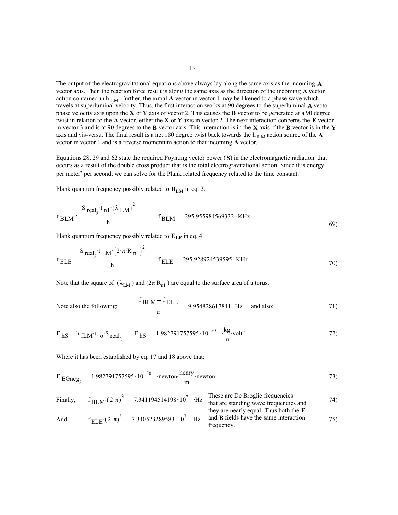The output of the electrogravitational equations above always lay along the same axis as the incoming **A** vector axis. Then the reaction force result is along the same axis as the direction of the incoming **A** vector action contained in  $h_{fLM}$ . Further, the initial **A** vector in vector 1 may be likened to a phase wave which travels at superluminal velocity. Thus, the first interaction works at 90 degrees to the superluminal **A** vector phase velocity axis upon the **X** or **Y** axis of vector 2. This causes the **B** vector to be generated at a 90 degree twist in relation to the **A** vector, either the **X** or **Y** axis in vector 2. The next interaction concerns the **E** vector in vector 3 and is at 90 degrees to the **B** vector axis. This interaction is in the **X** axis if the **B** vector is in the **Y** axis and vis-versa. The final result is a net 180 degree twist back towards the h<sub>fLM</sub> action source of the  $\bf{A}$ 

Equations 28, 29 and 62 state the required Poynting vector power ( **S**) in the electromagnetic radiation that occurs as a result of the double cross product that is the total electrogravitational action. Since it is energy per meter2 per second, we can solve for the Plank related frequency related to the time constant.

Plank quantum frequency possibly related to **B<sub>LM</sub>** in eq. 2.

$$
f_{BLM} = \frac{S_{real_2} \cdot t_{n1} \cdot (\lambda_{LM})^2}{h}
$$
  $f_{BLM} = -295.955984569332 \cdot KHz$  (69)

Plank quantum frequency possibly related to  $E_{LE}$  in eq. 4

$$
f_{\text{ELE}} := \frac{S_{\text{real}_2} \cdot t_{\text{LM}} (2 \cdot \pi \cdot R_{\text{nl}})^2}{h}
$$
  $f_{\text{ELE}} = -295.928924539595 \cdot \text{KHz}$  (70)

Note that the square of  $(\lambda_{LM})$  and  $(2\pi R_{n1})$  are equal to the surface area of a torus.

vector in vector 1 and is a reverse momentum action to that incoming **A** vector.

Note also the following: 
$$
\frac{f_{\text{BLM}} - f_{\text{ELE}}}{e} = -9.954828617841 \cdot Hz \text{ and also:}
$$
 71)

$$
F_{hS} := h_{fLM} \mu_0 \cdot S_{real_2}
$$
  $F_{hS} = -1.982791757595 \cdot 10^{-50}$   $\frac{kg}{m} \cdot volt^2$  (72)

Where it has been established by eq. 17 and 18 above that:

$$
F_{\text{EGneg}_2} = -1.982791757595 \cdot 10^{-50}
$$
 
$$
\cdot \text{newton} \cdot \frac{\text{henry}}{\text{m}} \cdot \text{newton}
$$
 (73)

Finally, 
$$
f_{BLM}(2 \cdot \pi)^3 = -7.341194514198 \cdot 10^7 \cdot Hz
$$
  
\nThat are standing wave frequencies  
\nthat are standing wave frequencies and  
\nthey are nearly equal. Thus both the E  
\nAnd:  $f_{ELE}(2 \cdot \pi)^3 = -7.340523289583 \cdot 10^7 \cdot Hz$   
\n $f_{ELE}(2 \cdot \pi)^3 = -7.340523289583 \cdot 10^7 \cdot Hz$   
\n $f_{LLE}(2 \cdot \pi)^3 = -7.340523289583 \cdot 10^7 \cdot Hz$   
\n $f_{LLE}(2 \cdot \pi)^3 = -7.340523289583 \cdot 10^7 \cdot Hz$   
\n $f_{LLE}(2 \cdot \pi)^3 = -7.340523289583 \cdot 10^7 \cdot Hz$   
\n $f_{LLE}(2 \cdot \pi)^3 = -7.340523289583 \cdot 10^7 \cdot Hz$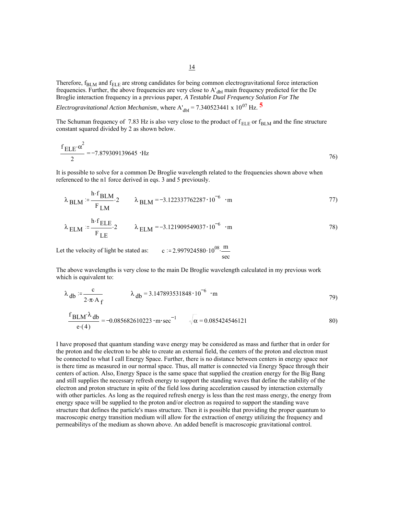Therefore,  $f_{BLM}$  and  $f_{ELE}$  are strong candidates for being common electrogravitational force interaction frequencies. Further, the above frequencies are very close to A'<sub>dbf</sub> main frequency predicted for the De Broglie interaction frequency in a previous paper, *A Testable Dual Frequency Solution For The* 

*Electrogravitational Action Mechanism*, where  $A'_{dbf} = 7.340523441 \times 10^{07}$  Hz.  $\overline{5}$ 

The Schuman frequency of 7.83 Hz is also very close to the product of  $f_{\text{ELE}}$  or  $f_{\text{BLM}}$  and the fine structure constant squared divided by 2 as shown below.

$$
\frac{f_{\text{ELE}} \alpha^2}{2} = -7.879309139645 \cdot \text{Hz}
$$

It is possible to solve for a common De Broglie wavelength related to the frequencies shown above when referenced to the n1 force derived in eqs. 3 and 5 previously.

$$
\lambda_{\text{BLM}} := \frac{\text{h} \cdot \text{f}_{\text{BLM}}}{\text{F}_{\text{LM}}} \cdot 2 \qquad \lambda_{\text{BLM}} = -3.122337762287 \cdot 10^{-6} \cdot \text{m}
$$

$$
\lambda_{\text{ELM}} := \frac{\text{h} \cdot \text{f}_{\text{ELE}}}{\text{F}_{\text{LE}}} \cdot 2 \qquad \lambda_{\text{ELM}} = -3.121909549037 \cdot 10^{-6} \cdot \text{m} \tag{78}
$$

Let the velocity of light be stated as:  $c := 2.997924580 \cdot 10^{08} \cdot \frac{m}{2}$ sec

The above wavelengths is very close to the main De Broglie wavelength calculated in my previous work which is equivalent to:

$$
\lambda_{\rm db} = \frac{c}{2 \cdot \pi \cdot A_f} \qquad \lambda_{\rm db} = 3.147893531848 \cdot 10^{-6} \cdot m \qquad (79)
$$

$$
\frac{f_{\text{BLM}}\lambda_{\text{db}}}{e \cdot (4)} = -0.085682610223 \cdot \text{m} \cdot \text{sec}^{-1} \qquad \sqrt{\alpha} = 0.085424546121 \tag{80}
$$

I have proposed that quantum standing wave energy may be considered as mass and further that in order for the proton and the electron to be able to create an external field, the centers of the proton and electron must be connected to what I call Energy Space. Further, there is no distance between centers in energy space nor is there time as measured in our normal space. Thus, all matter is connected via Energy Space through their centers of action. Also, Energy Space is the same space that supplied the creation energy for the Big Bang and still supplies the necessary refresh energy to support the standing waves that define the stability of the electron and proton structure in spite of the field loss during acceleration caused by interaction externally with other particles. As long as the required refresh energy is less than the rest mass energy, the energy from energy space will be supplied to the proton and/or electron as required to support the standing wave structure that defines the particle's mass structure. Then it is possible that providing the proper quantum to macroscopic energy transition medium will allow for the extraction of energy utilizing the frequency and permeabilitys of the medium as shown above. An added benefit is macroscopic gravitational control.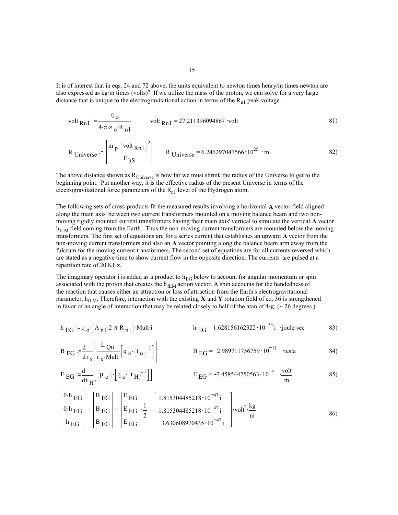It is of interest that in eqs. 24 and 72 above, the units equivalent to newton times henry/m times newton are also expressed as  $kg/m$  times (volts)<sup>2</sup>. If we utilize the mass of the proton, we can solve for a very large distance that is unique to the electrogravitational action in terms of the  $R_{n1}$  peak voltage.

volt 
$$
_{Rn1}
$$
 :=  $\frac{q_0}{4 \cdot \pi \cdot \varepsilon_0 \cdot R_{n1}}$  volt  $_{Rn1}$  = 27.211396094867 volt (81)  
\n
$$
R_{\text{Universe}} = \left| \frac{m_p \left( \text{volt }_{Rn1} \right)^2}{F_{\text{hS}}} \right| \qquad R_{\text{Universe}} = 6.246297047566 \cdot 10^{25} \cdot m \qquad (82)
$$

The above distance shown as  $R_{Universe}$  is how far we must shrink the radius of the Universe to get to the beginning point. Put another way, it is the effective radius of the present Universe in terms of the electrogravitational force parameters of the  $R_{n1}$  level of the Hydrogen atom.

The following sets of cross-products fit the measured results involving a horizontal **A** vector field aligned along the main axis' between two current transformers mounted on a moving balance beam and two nonmoving rigidly mounted current transformers having their main axis' vertical to simulate the vertical **A** vector  $h_{\text{fLM}}$  field coming from the Earth. Thus the non-moving current transformers are mounted below the moving transformers. The first set of equations are for a series current that establishes an upward **A** vector from the non-moving current transformers and also an **A** vector pointing along the balance beam arm away from the fulcrum for the moving current transformers. The second set of equations are for all currents reversed which are stated as a negative time to show current flow in the opposite direction. The currents' are pulsed at a repetition rate of 20 KHz.

The imaginary operator i is added as a product to  $h_{EG}$  below to account for angular momentum or spin associated with the proton that creates the  $h_{fLM}$  action vector. A spin accounts for the handedness of the reaction that causes either an attraction or loss of attraction from the Earth's electrogravitational parameter, h<sub>fLM</sub>. Therefore, interaction with the existing **X** and **Y** rotation field of eq. 36 is strengthened in favor of an angle of interaction that may be related closely to half of the atan of  $4/\pi$ : (~ 26 degrees.)

$$
h_{EG} := q_o \cdot (A_{n1} \cdot 2 \cdot \pi \cdot R_{n1}) \cdot \text{Mult i}
$$
  $h_{EG} = 1.628156162322 \cdot 10^{-33} \text{ i joule-sec}$  (83)

$$
B_{\text{EG}} = \frac{d}{dr_x} \left[ \frac{L_{\text{Qu}}}{r_x \cdot \text{Mult}} \left[ q_{0} \cdot \left( t_u \right)^{-1} \right] \right] \qquad B_{\text{EG}} = -2.989711756759 \cdot 10^{-11} \quad \text{tesla} \tag{84}
$$

$$
E_{\text{EG}} := \frac{d}{dt_H} \left[ \left( \mu_{\text{o'}} \right) \cdot \left[ q_{\text{o}} \cdot \left( t_H \right)^{-1} \right] \right] \qquad \qquad E_{\text{EG}} = -7.458544750563 \cdot 10^{-4} \cdot \frac{\text{volt}}{\text{m}} \qquad \qquad 85)
$$

$$
\begin{bmatrix} 0 \cdot h \, EG \\ 0 \cdot h \, EG \\ h \, EG \end{bmatrix} \times \begin{bmatrix} B \, EG \\ B \, EG \\ B \, EG \end{bmatrix} \times \begin{bmatrix} E \, EG \\ E \, EG \\ E \, EG \end{bmatrix} \times \begin{bmatrix} E \, EG \\ E \, EG \\ Z \end{bmatrix} \cdot \frac{1}{2} = \begin{bmatrix} 1.815304485218 \cdot 10^{-47} i \\ 1.815304485218 \cdot 10^{-47} i \\ -3.630608970435 \cdot 10^{-47} i \end{bmatrix} \cdot \text{volt}^2 \cdot \frac{kg}{m}
$$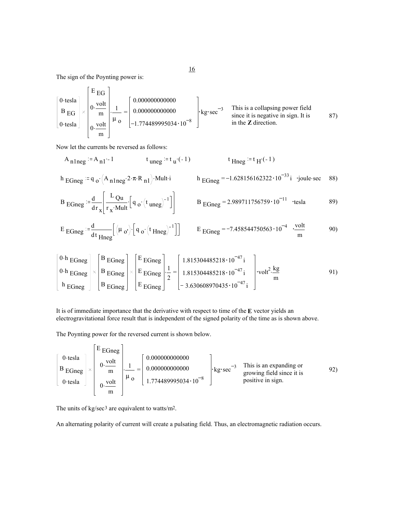The sign of the Poynting power is:

This is a collapsing power field since it is negative in sign. It is in the **Z** direction. . = 0.tesla B EG 0.tesla E EG 0. volt m 0. volt m 1 µ o 0.000000000000 0.000000000000 1.774489995034 10 <sup>8</sup> kg sec 3 87)

Now let the currents be reversed as follows:

$$
A_{n1neg} = A_{n1} - 1 \qquad \qquad t_{uneg} = t_u(-1) \qquad \qquad t_{Hneg} = t_H(-1)
$$

h 
$$
EGneg := q_0 \cdot (A_{n1neg} \cdot 2 \cdot \pi \cdot R_{n1}) \cdot \text{Multi}
$$
 h  $EGneg = -1.628156162322 \cdot 10^{-33} \text{ i } \cdot \text{joule} \cdot \text{sec}$  88)

$$
B_{\text{EGneg}} = \frac{d}{dr_x} \left[ \frac{L_{\text{Qu}}}{r_x \cdot \text{Mult}} \left[ q_o \cdot \left( t_{\text{ uneg}} \right)^{-1} \right] \right] \qquad \qquad B_{\text{EGneg}} = 2.989711756759 \cdot 10^{-11} \quad \text{tesla} \tag{89}
$$

$$
E_{\text{EGneg}} = \frac{d}{dt_{\text{Hneg}}} \left[ \left( \mu_{o'} \right) \cdot \left[ q_{o} \cdot \left( t_{\text{Hneg}} \right)^{-1} \right] \right] \qquad E_{\text{EGneg}} = -7.458544750563 \cdot 10^{-4} \cdot \frac{\text{volt}}{\text{m}} \tag{90}
$$

$$
\begin{bmatrix} 0 \cdot h \text{ EGneg} \\ 0 \cdot h \text{ EGneg} \\ h \text{ EGneg} \end{bmatrix} \times \begin{bmatrix} B \text{ EGneg} \\ B \text{ EGneg} \\ B \text{ EGneg} \end{bmatrix} \times \begin{bmatrix} E \text{ EGneg} \\ E \text{ EGneg} \\ E \text{ EGneg} \end{bmatrix} \cdot \frac{1}{2} = \begin{bmatrix} 1.815304485218 \cdot 10^{-47} i \\ 1.815304485218 \cdot 10^{-47} i \\ -3.630608970435 \cdot 10^{-47} i \end{bmatrix} \cdot \text{vol}t^2 \cdot \frac{\text{kg}}{\text{m}}
$$

It is of immediate importance that the derivative with respect to time of the **E** vector yields an electrogravitational force result that is independent of the signed polarity of the time as is shown above.

The Poynting power for the reversed current is shown below.

$$
\begin{bmatrix} 0 \text{ tesla} \\ B \text{ EGneg} \\ 0 \text{ tesla} \end{bmatrix} \times \begin{bmatrix} E \text{ EGneg} \\ 0 \cdot \frac{\text{volt}}{\text{m}} \\ 0 \cdot \frac{\text{volt}}{\text{m}} \end{bmatrix} \cdot \frac{1}{\mu_0} = \begin{bmatrix} 0.00000000000 \\ 0.000000000000 \\ 1.774489995034 \cdot 10^{-8} \end{bmatrix} \cdot \text{kg \cdot sec}^{-3} \quad \text{This is an expanding or growing field since it is positive in sign.} \tag{92}
$$

The units of kg/sec<sup>3</sup> are equivalent to watts/m<sup>2</sup>.

An alternating polarity of current will create a pulsating field. Thus, an electromagnetic radiation occurs.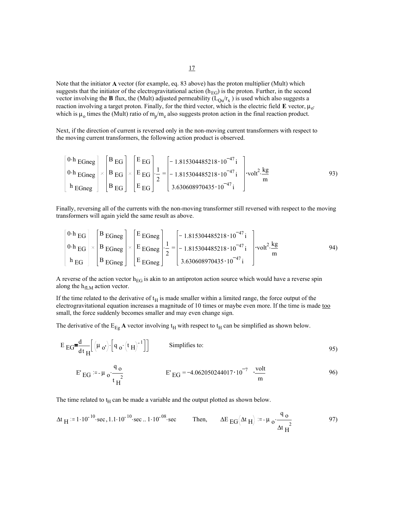Note that the initiator **A** vector (for example, eq. 83 above) has the proton multiplier (Mult) which suggests that the initiator of the electrogravitational action ( $h_{EG}$ ) is the proton. Further, in the second vector involving the **B** flux, the (Mult) adjusted permeability ( $L_{Qu}/r_x$ ) is used which also suggests a reaction involving a target proton. Finally, for the third vector, which is the electric field  $\bf{E}$  vector,  $\mu_{0'}$ which is  $\mu_0$  times the (Mult) ratio of  $m_p/m_e$  also suggests proton action in the final reaction product.

Next, if the direction of current is reversed only in the non-moving current transformers with respect to the moving current transformers, the following action product is observed.

$$
\begin{bmatrix}\n0 \cdot h \text{ EGneg} \\
0 \cdot h \text{ EGneg} \\
h \text{ EGneg}\n\end{bmatrix}\n\times\n\begin{bmatrix}\nB \text{ EG} \\
B \text{ EG} \\
B \text{ EG}\n\end{bmatrix}\n\times\n\begin{bmatrix}\nE \text{ EG} \\
E \text{ EG} \\
E \text{ EG}\n\end{bmatrix}\n\t\cdot\n\begin{bmatrix}\n1.815304485218 \cdot 10^{-47} i \\
-1.815304485218 \cdot 10^{-47} i \\
3.630608970435 \cdot 10^{-47} i\n\end{bmatrix}\n\t\t\cdot\text{volt}^2 \cdot\n\frac{\text{kg}}{\text{m}}
$$

Finally, reversing all of the currents with the non-moving transformer still reversed with respect to the moving transformers will again yield the same result as above.

$$
\begin{bmatrix} 0 \cdot h \, \text{EG} \\ 0 \cdot h \, \text{EG} \\ h \, \text{EG} \end{bmatrix} \times \begin{bmatrix} B \, \text{E} \, \text{Gneg} \\ B \, \text{E} \, \text{Gneg} \\ B \, \text{E} \, \text{Gneg} \end{bmatrix} \times \begin{bmatrix} E \, \text{E} \, \text{Gneg} \\ E \, \text{Gneg} \\ E \, \text{Gneg} \end{bmatrix} \cdot \frac{1}{2} = \begin{bmatrix} -1.815304485218 \cdot 10^{-47} i \\ -1.815304485218 \cdot 10^{-47} i \\ 3.630608970435 \cdot 10^{-47} i \end{bmatrix} \cdot \text{volt}^2 \cdot \frac{\text{kg}}{\text{m}}
$$

A reverse of the action vector  $h_{EG}$  is akin to an antiproton action source which would have a reverse spin along the  $h_{fLM}$  action vector.

If the time related to the derivative of  $t_H$  is made smaller within a limited range, the force output of the electrogravitational equation increases a magnitude of 10 times or maybe even more. If the time is made too small, the force suddenly becomes smaller and may even change sign.

The derivative of the  $E_{Eg}$  **A** vector involving  $t_H$  with respect to  $t_H$  can be simplified as shown below.

$$
E_{\text{EG}} = \frac{d}{dt_H} \left[ \left( \mu_{\text{o'}} \right) \cdot \left[ q_{\text{o}} \cdot \left( t_H \right)^{-1} \right] \right] \qquad \text{Simplifies to:} \qquad (95)
$$

$$
E'_{EG} = -\mu_0 \cdot \frac{q_0}{t_H^2}
$$
 
$$
E'_{EG} = -4.062050244017 \cdot 10^{-7} \cdot \frac{\text{volt}}{\text{m}}
$$

The time related to  $t_H$  can be made a variable and the output plotted as shown below.

$$
\Delta t_{\text{H}} = 1 \cdot 10^{-10} \cdot \text{sec}, 1.1 \cdot 10^{-10} \cdot \text{sec} \dots 1 \cdot 10^{-08} \cdot \text{sec}
$$
 Then,  $\Delta E_{\text{EG}}(\Delta t_{\text{H}}) := -\mu_0 \cdot \frac{q_0}{\Delta t_{\text{H}}^2}$  97)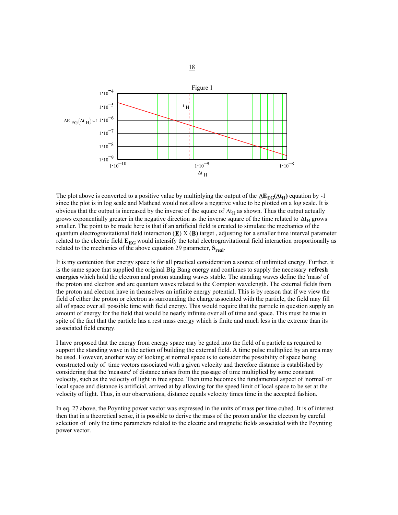

The plot above is converted to a positive value by multiplying the output of the  $\Delta E_{EG}(\Delta t_H)$  equation by -1 since the plot is in log scale and Mathcad would not allow a negative value to be plotted on a log scale. It is obvious that the output is increased by the inverse of the square of  $\Delta t_H$  as shown. Thus the output actually grows exponentially greater in the negative direction as the inverse square of the time related to  $\Delta t_H$  grows smaller. The point to be made here is that if an artificial field is created to simulate the mechanics of the quantum electrogravitational field interaction (**E**) X (**B**) target , adjusting for a smaller time interval parameter related to the electric field  $E_{EG}$  would intensify the total electrogravitational field interaction proportionally as related to the mechanics of the above equation 29 parameter,  $S_{\text{real}}$ .

It is my contention that energy space is for all practical consideration a source of unlimited energy. Further, it is the same space that supplied the original Big Bang energy and continues to supply the necessary **refresh energies** which hold the electron and proton standing waves stable. The standing waves define the 'mass' of the proton and electron and are quantum waves related to the Compton wavelength. The external fields from the proton and electron have in themselves an infinite energy potential. This is by reason that if we view the field of either the proton or electron as surrounding the charge associated with the particle, the field may fill all of space over all possible time with field energy. This would require that the particle in question supply an amount of energy for the field that would be nearly infinite over all of time and space. This must be true in spite of the fact that the particle has a rest mass energy which is finite and much less in the extreme than its associated field energy.

I have proposed that the energy from energy space may be gated into the field of a particle as required to support the standing wave in the action of building the external field. A time pulse multiplied by an area may be used. However, another way of looking at normal space is to consider the possibility of space being constructed only of time vectors associated with a given velocity and therefore distance is established by considering that the 'measure' of distance arises from the passage of time multiplied by some constant velocity, such as the velocity of light in free space. Then time becomes the fundamental aspect of 'normal' or local space and distance is artificial, arrived at by allowing for the speed limit of local space to be set at the velocity of light. Thus, in our observations, distance equals velocity times time in the accepted fashion.

In eq. 27 above, the Poynting power vector was expressed in the units of mass per time cubed. It is of interest then that in a theoretical sense, it is possible to derive the mass of the proton and/or the electron by careful selection of only the time parameters related to the electric and magnetic fields associated with the Poynting power vector.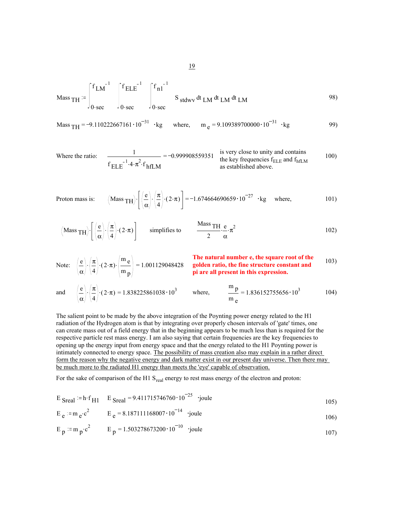$$
\text{Mass}_{\text{TH}} = \int_{0 \text{ sec}}^{f_{\text{LM}}^{-1}} \int_{0 \text{ sec}}^{f_{\text{ELE}}^{-1}} \int_{0 \text{ sec}}^{f_{\text{nl}}^{-1}} S_{\text{stdwV}} dt_{\text{LM}} dt_{\text{LM}} dt_{\text{LM}}
$$

Mass <sup>=</sup> TH 9.110222667161 <sup>10</sup> <sup>31</sup> kg where, <sup>m</sup> <sup>=</sup> <sup>e</sup> 9.109389700000 <sup>10</sup> <sup>31</sup> kg 99)

Where the ratio: 
$$
\frac{1}{f_{\text{ELE}}^{-1} \cdot 4 \cdot \pi^2 \cdot f_{\text{hfLM}}} = -0.999908559351
$$
 is very close to unity and contains  
the key frequencies  $f_{\text{ELE}}$  and  $f_{\text{hfLM}}$ 

Proton mass is: 
$$
(Mass \text{TH}) \cdot \left[ \left( \frac{e}{\alpha} \right) \cdot \left( \frac{\pi}{4} \right) \cdot (2 \cdot \pi) \right] = -1.674664690659 \cdot 10^{-27} \cdot \text{kg}
$$
 where, 101)

(Mass TH)
$$
\cdot
$$
 $\left[\left(\frac{e}{\alpha}\right) \cdot \left(\frac{\pi}{4}\right) \cdot (2 \cdot \pi)\right]$  simplifies to  $\frac{\text{Mass TH}}{2} \cdot \frac{e}{\alpha} \cdot \pi^2$  102)

Note: 
$$
\left(\frac{e}{\alpha}\right) \cdot \left(\frac{\pi}{4}\right) \cdot (2 \cdot \pi) \cdot \left(\frac{m}{m_p}\right) = 1.001129048428
$$
  
\n**The natural number e, the square root of the golden ratio, the fine structure constant and pi are all present in this expression.**

and 
$$
\left(\frac{e}{\alpha}\right) \cdot \left(\frac{\pi}{4}\right) \cdot (2 \cdot \pi) = 1.838225861038 \cdot 10^3
$$
 where,  $\frac{m}{m} = 1.836152755656 \cdot 10^3$  104)

The salient point to be made by the above integration of the Poynting power energy related to the H1 radiation of the Hydrogen atom is that by integrating over properly chosen intervals of 'gate' times, one can create mass out of a field energy that in the beginning appears to be much less than is required for the respective particle rest mass energy. I am also saying that certain frequencies are the key frequencies to opening up the energy input from energy space and that the energy related to the H1 Poynting power is intimately connected to energy space. The possibility of mass creation also may explain in a rather direct form the reason why the negative energy and dark matter exist in our present day universe. Then there may be much more to the radiated H1 energy than meets the 'eye' capable of observation.

For the sake of comparison of the H1 S<sub>real</sub> energy to rest mass energy of the electron and proton:

$$
E_{\text{Sreal}} = h \cdot f_{\text{H1}} = g \cdot 411715746760 \cdot 10^{-25}
$$
 'joule

$$
E_e
$$
 = m<sub>e</sub>·c<sup>2</sup>  $E_e$  = 8.187111168007·10<sup>-14</sup> 'joule 106)

$$
E_p := m_p \cdot c^2
$$
  $E_p = 1.503278673200 \cdot 10^{-10}$  'joule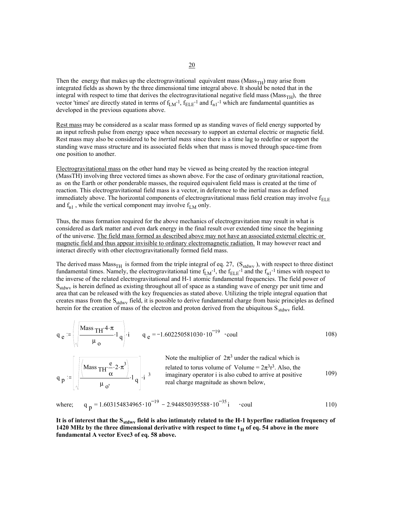Then the energy that makes up the electrogravitational equivalent mass ( $Mass_{TH}$ ) may arise from integrated fields as shown by the three dimensional time integral above. It should be noted that in the integral with respect to time that derives the electrogravitational negative field mass ( $Mass_{TH}$ ), the three vector 'times' are directly stated in terms of  $f_{LM}^{-1}$ ,  $f_{ELE}^{-1}$  and  $f_{n1}^{-1}$  which are fundamental quantities as developed in the previous equations above.

Rest mass may be considered as a scalar mass formed up as standing waves of field energy supported by an input refresh pulse from energy space when necessary to support an external electric or magnetic field. Rest mass may also be considered to be *inertial mass* since there is a time lag to redefine or support the standing wave mass structure and its associated fields when that mass is moved through space-time from one position to another.

Electrogravitational mass on the other hand may be viewed as being created by the reaction integral (MassTH) involving three vectored times as shown above. For the case of ordinary gravitational reaction, as on the Earth or other ponderable masses, the required equivalent field mass is created at the time of reaction. This electrogravitational field mass is a vector, in deference to the inertial mass as defined immediately above. The horizontal components of electrogravitational mass field creation may involve  $f_{ELE}$ and  $f_{n1}$ , while the vertical component may involve  $f_{LM}$  only.

Thus, the mass formation required for the above mechanics of electrogravitation may result in what is considered as dark matter and even dark energy in the final result over extended time since the beginning of the universe. The field mass formed as described above may not have an associated external electric or magnetic field and thus appear invisible to ordinary electromagnetic radiation. It may however react and interact directly with other electrogravitationally formed field mass.

The derived mass  $Mass_{TH}$  is formed from the triple integral of eq. 27,  $(S_{stdwv})$ , with respect to three distinct fundamental times. Namely, the electrogravitational time  $f_{LM}^{-1}$ , the  $f_{ELE}^{-1}$  and the  $f_{nl}^{-1}$  times with respect to the inverse of the related electrogravitational and H-1 atomic fundamental frequencies. The field power of S<sub>stdwy</sub> is herein defined as existing throughout all of space as a standing wave of energy per unit time and area that can be released with the key frequencies as stated above. Utilizing the triple integral equation that creates mass from the S<sub>stdwy</sub> field, it is possible to derive fundamental charge from basic principles as defined herein for the creation of mass of the electron and proton derived from the ubiquitous  $S_{\text{stdwv}}$  field.

$$
q_e := \left( \sqrt{\frac{\text{Mass} \, \text{TH}^2 \cdot \pi}{\mu_o}} \cdot l \right) i \qquad q_e = -1.602250581030 \cdot 10^{-19} \cdot \text{coul} \tag{108}
$$

Note the multiplier of  $2\pi^3$  under the radical which is related to torus volume of Volume =  $2\pi^3 r^3$ . Also, the imaginary operator i is also cubed to arrive at positive real charge magnitude as shown below,  $q_p = \left| \frac{\left| \begin{matrix} 1 & 1 & 1 \\ 1 & 2 & 1 \\ 1 & 1 & 1 \end{matrix} \right|}{\cdots} \cdot 1_q \right|$ .  $i = 3$  imaginary operator i is also cubed to arrive at positive 109) Mass  $TH \frac{e}{m} \cdot 2$ . α  $2 \cdot \pi^3$  $\mu$ <sub>0</sub>'  $\left| \begin{array}{c} 1 \end{array} \right|$  i <sup>3</sup>

where; 
$$
q_p = 1.603154834965 \cdot 10^{-19} - 2.944850395588 \cdot 10^{-35} i \cdot \text{coul}
$$
 110)

It is of interest that the S<sub>stdwv</sub> field is also intimately related to the H-1 hyperfine radiation frequency of **1420 MHz by the three dimensional derivative with respect to time**  $t_H$  **of eq. 54 above in the more fundamental A vector Evec3 of eq. 58 above.**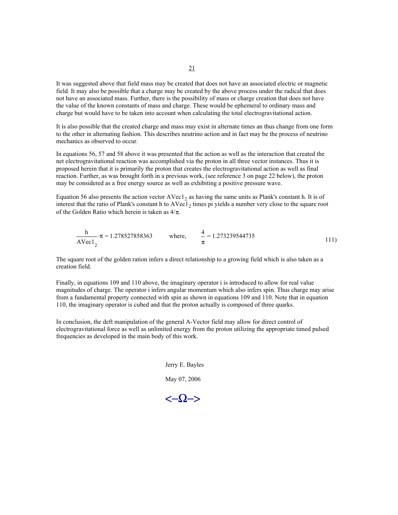It was suggested above that field mass may be created that does not have an associated electric or magnetic field. It may also be possible that a charge may be created by the above process under the radical that does not have an associated mass. Further, there is the possibility of mass or charge creation that does not have the value of the known constants of mass and charge. These would be ephemeral to ordinary mass and charge but would have to be taken into account when calculating the total electrogravitational action.

It is also possible that the created charge and mass may exist in alternate times an thus change from one form to the other in alternating fashion. This describes neutrino action and in fact may be the process of neutrino mechanics as observed to occur.

In equations 56, 57 and 58 above it was presented that the action as well as the interaction that created the net electrogravitational reaction was accomplished via the proton in all three vector instances. Thus it is proposed herein that it is primarily the proton that creates the electrogravitational action as well as final reaction. Further, as was brought forth in a previous work, (see reference 3 on page 22 below), the proton may be considered as a free energy source as well as exhibiting a positive pressure wave.

Equation 56 also presents the action vector AVec1<sub>2</sub> as having the same units as Plank's constant h. It is of interest that the ratio of Plank's constant h to  $AVec1<sub>2</sub>$  times pi yields a number very close to the square root of the Golden Ratio which herein is taken as  $4/\pi$ .

$$
\frac{h}{AVec1} \cdot \pi = 1.278527858363 \quad \text{where,} \quad \frac{4}{\pi} = 1.273239544735 \tag{111}
$$

The square root of the golden ration infers a direct relationship to a growing field which is also taken as a creation field.

Finally, in equations 109 and 110 above, the imaginary operator i is introduced to allow for real value magnitudes of charge. The operator i infers angular momentum which also infers spin. Thus charge may arise from a fundamental property connected with spin as shown in equations 109 and 110. Note that in equation 110, the imaginary operator is cubed and that the proton actually is composed of three quarks.

In conclusion, the deft manipulation of the general A-Vector field may allow for direct control of electrogravitational force as well as unlimited energy from the proton utilizing the appropriate timed pulsed frequencies as developed in the main body of this work.

> Jerry E. Bayles May 07, 2006

<−Ω−>